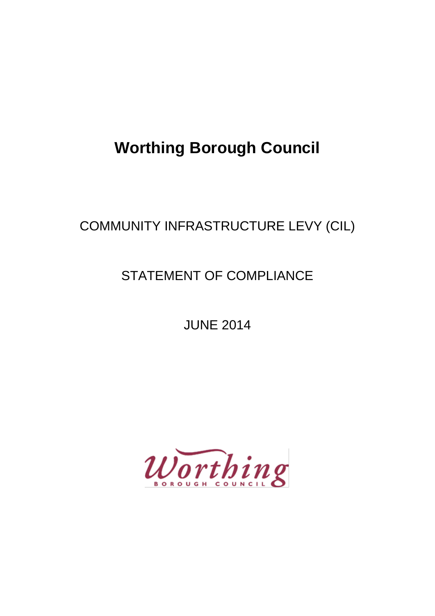# **Worthing Borough Council**

## COMMUNITY INFRASTRUCTURE LEVY (CIL)

### STATEMENT OF COMPLIANCE

JUNE 2014

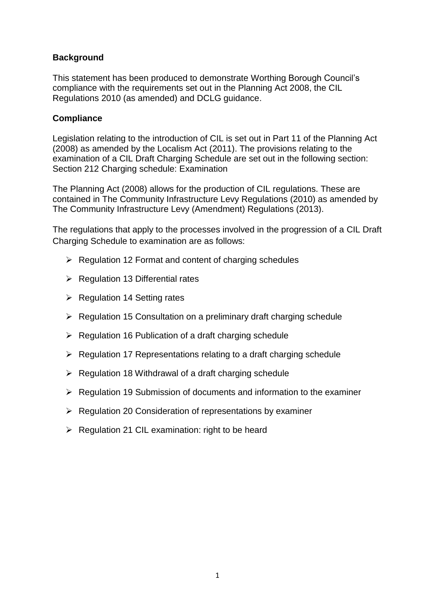#### **Background**

This statement has been produced to demonstrate Worthing Borough Council's compliance with the requirements set out in the Planning Act 2008, the CIL Regulations 2010 (as amended) and DCLG guidance.

#### **Compliance**

Legislation relating to the introduction of CIL is set out in Part 11 of the Planning Act (2008) as amended by the Localism Act (2011). The provisions relating to the examination of a CIL Draft Charging Schedule are set out in the following section: Section 212 Charging schedule: Examination

The Planning Act (2008) allows for the production of CIL regulations. These are contained in The Community Infrastructure Levy Regulations (2010) as amended by The Community Infrastructure Levy (Amendment) Regulations (2013).

The regulations that apply to the processes involved in the progression of a CIL Draft Charging Schedule to examination are as follows:

- $\triangleright$  Regulation 12 Format and content of charging schedules
- $\triangleright$  Regulation 13 Differential rates
- $\triangleright$  Regulation 14 Setting rates
- $\triangleright$  Regulation 15 Consultation on a preliminary draft charging schedule
- $\triangleright$  Regulation 16 Publication of a draft charging schedule
- $\triangleright$  Regulation 17 Representations relating to a draft charging schedule
- $\triangleright$  Regulation 18 Withdrawal of a draft charging schedule
- $\triangleright$  Regulation 19 Submission of documents and information to the examiner
- $\triangleright$  Regulation 20 Consideration of representations by examiner
- $\triangleright$  Regulation 21 CIL examination: right to be heard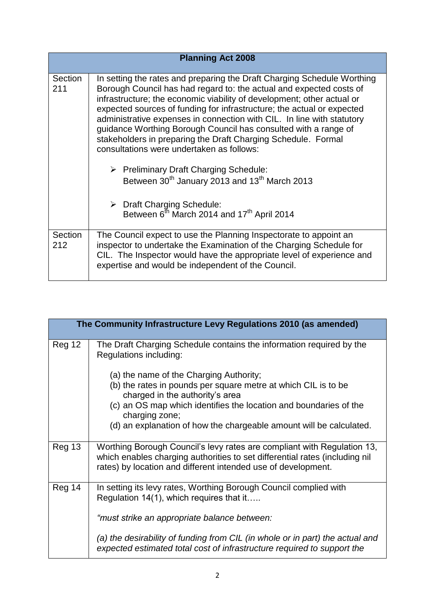| <b>Planning Act 2008</b> |                                                                                                                                                                                                                                                                                                                                                                                                                                                                                                                                                                                                                                                                                                                                                                                                                    |  |
|--------------------------|--------------------------------------------------------------------------------------------------------------------------------------------------------------------------------------------------------------------------------------------------------------------------------------------------------------------------------------------------------------------------------------------------------------------------------------------------------------------------------------------------------------------------------------------------------------------------------------------------------------------------------------------------------------------------------------------------------------------------------------------------------------------------------------------------------------------|--|
| Section<br>211           | In setting the rates and preparing the Draft Charging Schedule Worthing<br>Borough Council has had regard to: the actual and expected costs of<br>infrastructure; the economic viability of development; other actual or<br>expected sources of funding for infrastructure; the actual or expected<br>administrative expenses in connection with CIL. In line with statutory<br>guidance Worthing Borough Council has consulted with a range of<br>stakeholders in preparing the Draft Charging Schedule. Formal<br>consultations were undertaken as follows:<br>$\triangleright$ Preliminary Draft Charging Schedule:<br>Between 30 <sup>th</sup> January 2013 and 13 <sup>th</sup> March 2013<br>$\triangleright$ Draft Charging Schedule:<br>Between 6 <sup>th</sup> March 2014 and 17 <sup>th</sup> April 2014 |  |
| Section                  | The Council expect to use the Planning Inspectorate to appoint an                                                                                                                                                                                                                                                                                                                                                                                                                                                                                                                                                                                                                                                                                                                                                  |  |
| 212                      | inspector to undertake the Examination of the Charging Schedule for<br>CIL. The Inspector would have the appropriate level of experience and<br>expertise and would be independent of the Council.                                                                                                                                                                                                                                                                                                                                                                                                                                                                                                                                                                                                                 |  |

| The Community Infrastructure Levy Regulations 2010 (as amended) |                                                                                                                                                                                                                         |  |
|-----------------------------------------------------------------|-------------------------------------------------------------------------------------------------------------------------------------------------------------------------------------------------------------------------|--|
| Reg 12                                                          | The Draft Charging Schedule contains the information required by the<br>Regulations including:                                                                                                                          |  |
|                                                                 | (a) the name of the Charging Authority;<br>(b) the rates in pounds per square metre at which CIL is to be<br>charged in the authority's area                                                                            |  |
|                                                                 | (c) an OS map which identifies the location and boundaries of the<br>charging zone;<br>(d) an explanation of how the chargeable amount will be calculated.                                                              |  |
| Reg 13                                                          | Worthing Borough Council's levy rates are compliant with Regulation 13,<br>which enables charging authorities to set differential rates (including nil<br>rates) by location and different intended use of development. |  |
| Reg 14                                                          | In setting its levy rates, Worthing Borough Council complied with<br>Regulation 14(1), which requires that it                                                                                                           |  |
|                                                                 | "must strike an appropriate balance between:                                                                                                                                                                            |  |
|                                                                 | (a) the desirability of funding from CIL (in whole or in part) the actual and<br>expected estimated total cost of infrastructure required to support the                                                                |  |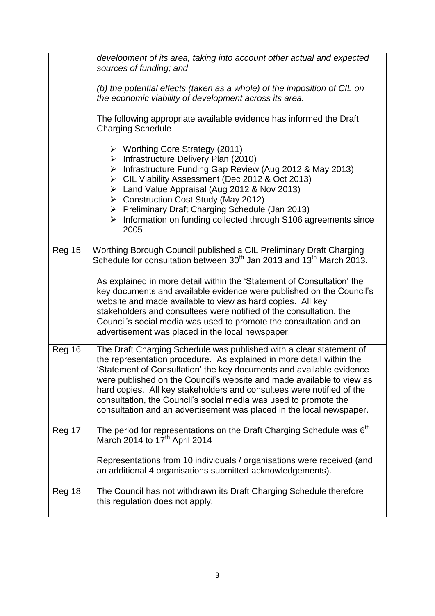|        | development of its area, taking into account other actual and expected<br>sources of funding; and                                                                                                                                                                                                                                                                                                                                                                                                                 |
|--------|-------------------------------------------------------------------------------------------------------------------------------------------------------------------------------------------------------------------------------------------------------------------------------------------------------------------------------------------------------------------------------------------------------------------------------------------------------------------------------------------------------------------|
|        | (b) the potential effects (taken as a whole) of the imposition of CIL on<br>the economic viability of development across its area.                                                                                                                                                                                                                                                                                                                                                                                |
|        | The following appropriate available evidence has informed the Draft<br><b>Charging Schedule</b>                                                                                                                                                                                                                                                                                                                                                                                                                   |
|        | $\triangleright$ Worthing Core Strategy (2011)<br>$\triangleright$ Infrastructure Delivery Plan (2010)<br>> Infrastructure Funding Gap Review (Aug 2012 & May 2013)<br>▶ CIL Viability Assessment (Dec 2012 & Oct 2013)<br>> Land Value Appraisal (Aug 2012 & Nov 2013)<br>▶ Construction Cost Study (May 2012)<br>▶ Preliminary Draft Charging Schedule (Jan 2013)<br>$\triangleright$ Information on funding collected through S106 agreements since<br>2005                                                    |
| Reg 15 | Worthing Borough Council published a CIL Preliminary Draft Charging<br>Schedule for consultation between 30 <sup>th</sup> Jan 2013 and 13 <sup>th</sup> March 2013.                                                                                                                                                                                                                                                                                                                                               |
|        | As explained in more detail within the 'Statement of Consultation' the<br>key documents and available evidence were published on the Council's<br>website and made available to view as hard copies. All key<br>stakeholders and consultees were notified of the consultation, the<br>Council's social media was used to promote the consultation and an<br>advertisement was placed in the local newspaper.                                                                                                      |
| Reg 16 | The Draft Charging Schedule was published with a clear statement of<br>the representation procedure. As explained in more detail within the<br>'Statement of Consultation' the key documents and available evidence<br>were published on the Council's website and made available to view as<br>hard copies. All key stakeholders and consultees were notified of the<br>consultation, the Council's social media was used to promote the<br>consultation and an advertisement was placed in the local newspaper. |
| Reg 17 | The period for representations on the Draft Charging Schedule was $6th$<br>March 2014 to $17th$ April 2014                                                                                                                                                                                                                                                                                                                                                                                                        |
|        | Representations from 10 individuals / organisations were received (and<br>an additional 4 organisations submitted acknowledgements).                                                                                                                                                                                                                                                                                                                                                                              |
| Reg 18 | The Council has not withdrawn its Draft Charging Schedule therefore<br>this regulation does not apply.                                                                                                                                                                                                                                                                                                                                                                                                            |